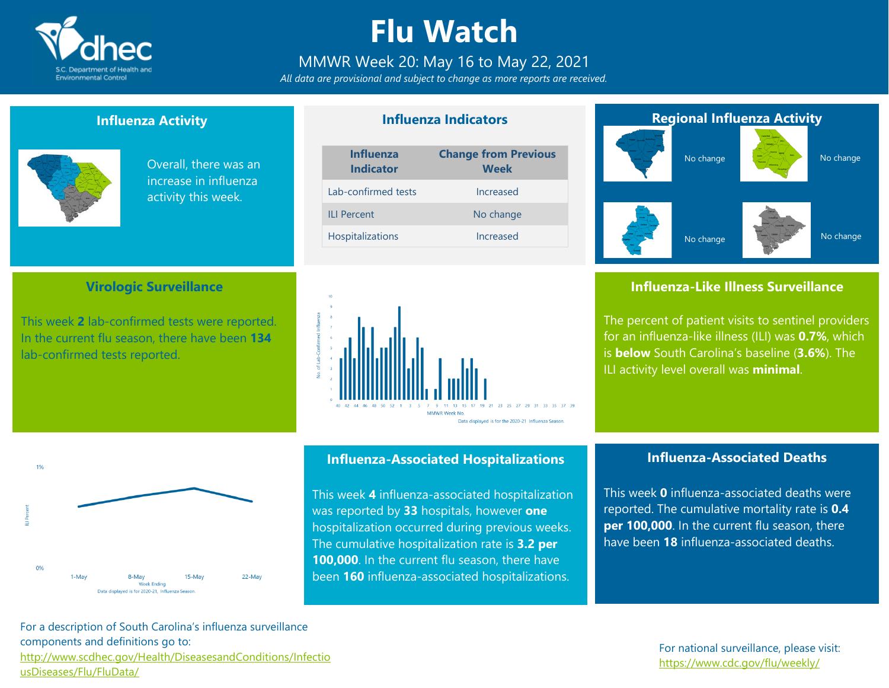

### **Flu Watch**

### MMWR Week 20: May 16 to May 22, 2021

*All data are provisional and subject to change as more reports are received.*

**Influenza Indicators**

### **Influenza Activity**



 $196$ 

 $0%$ 

1-May

Overall, there was an increase in influenza activity this week.

### **Virologic Surveillance**

This week **2** lab-confirmed tests were reported. In the current flu season, there have been **134** lab-confirmed tests reported.





#### **Influenza-Associated Hospitalizations**

This week **4** influenza-associated hospitalization was reported by **33** hospitals, however **one** hospitalization occurred during previous weeks. The cumulative hospitalization rate is **3.2 per 100,000**. In the current flu season, there have been **160** influenza-associated hospitalizations.



### **Influenza-Like Illness Surveillance**

The percent of patient visits to sentinel providers for an influenza-like illness (ILI) was **0.7%**, which is **below** South Carolina's baseline (**3.6%**). The ILI activity level overall was **minimal**.

### **Influenza-Associated Deaths**

This week **0** influenza-associated deaths were reported. The cumulative mortality rate is **0.4 per 100,000**. In the current flu season, there have been **18** influenza-associated deaths.

For a description of South Carolina's influenza surveillance components and definitions go to: [http://www.scdhec.gov/Health/DiseasesandConditions/Infectio](http://www.scdhec.gov/Health/DiseasesandConditions/InfectiousDiseases/Flu/FluData/) [usDiseases/Flu/FluData/](http://www.scdhec.gov/Health/DiseasesandConditions/InfectiousDiseases/Flu/FluData/)

15-May

22-May

8-May

Week Ending Data displayed is for 2020-21, Influenza Season.

#### For national surveillance, please visit: <https://www.cdc.gov/flu/weekly/>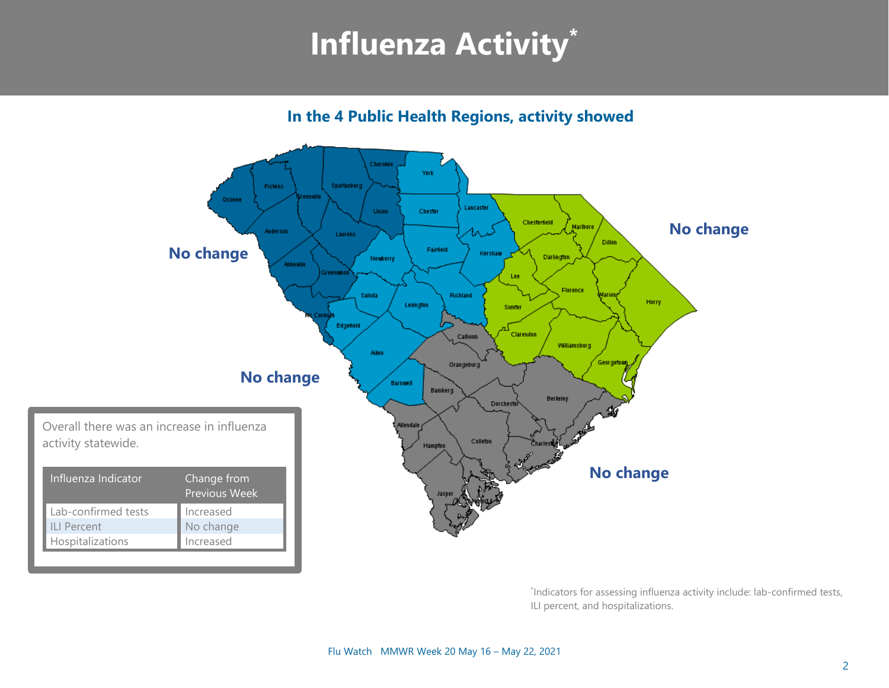## **Influenza Activity\***

**In the 4 Public Health Regions, activity showed**



\* Indicators for assessing influenza activity include: lab-confirmed tests, ILI percent, and hospitalizations.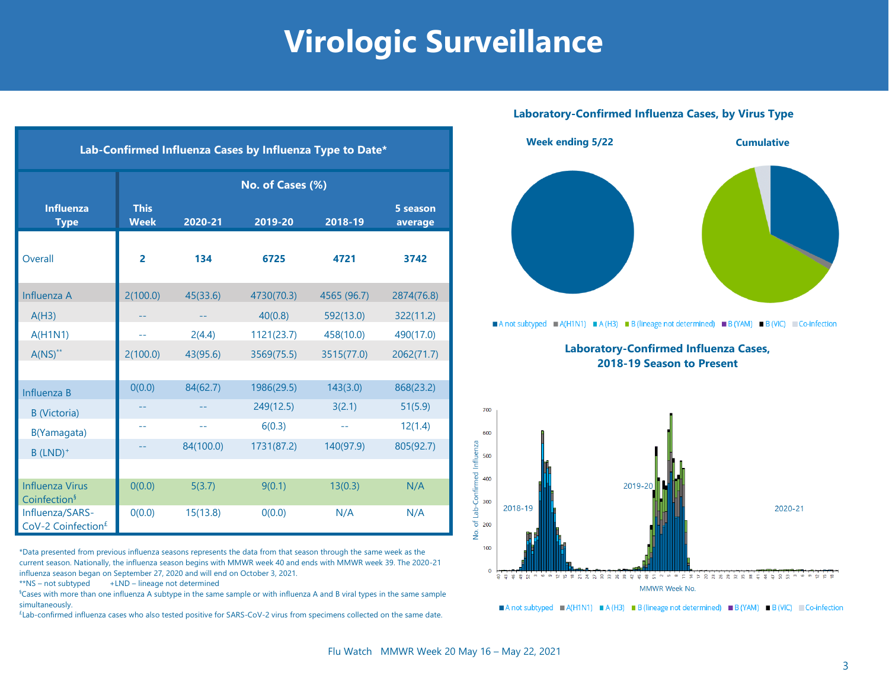### **Virologic Surveillance**

| Lab-Confirmed Influenza Cases by Influenza Type to Date* |                            |           |            |             |                     |  |  |  |  |
|----------------------------------------------------------|----------------------------|-----------|------------|-------------|---------------------|--|--|--|--|
|                                                          | No. of Cases (%)           |           |            |             |                     |  |  |  |  |
| <b>Influenza</b><br><b>Type</b>                          | <b>This</b><br><b>Week</b> | 2020-21   | 2019-20    | 2018-19     | 5 season<br>average |  |  |  |  |
| Overall                                                  | $\overline{2}$             | 134       | 6725       | 4721        | 3742                |  |  |  |  |
| Influenza A                                              | 2(100.0)                   | 45(33.6)  | 4730(70.3) | 4565 (96.7) | 2874(76.8)          |  |  |  |  |
| A(H3)                                                    |                            |           | 40(0.8)    | 592(13.0)   | 322(11.2)           |  |  |  |  |
| A(H1N1)                                                  | $-1$                       | 2(4.4)    | 1121(23.7) | 458(10.0)   | 490(17.0)           |  |  |  |  |
| $A(NS)^{**}$                                             | 2(100.0)                   | 43(95.6)  | 3569(75.5) | 3515(77.0)  | 2062(71.7)          |  |  |  |  |
|                                                          |                            |           |            |             |                     |  |  |  |  |
| Influenza B                                              | 0(0.0)                     | 84(62.7)  | 1986(29.5) | 143(3.0)    | 868(23.2)           |  |  |  |  |
| <b>B</b> (Victoria)                                      |                            |           | 249(12.5)  | 3(2.1)      | 51(5.9)             |  |  |  |  |
| B(Yamagata)                                              |                            | $-$       | 6(0.3)     | $-1$        | 12(1.4)             |  |  |  |  |
| $B$ (LND) <sup>+</sup>                                   |                            | 84(100.0) | 1731(87.2) | 140(97.9)   | 805(92.7)           |  |  |  |  |
|                                                          |                            |           |            |             |                     |  |  |  |  |
| <b>Influenza Virus</b><br>Coinfection <sup>§</sup>       | 0(0.0)                     | 5(3.7)    | 9(0.1)     | 13(0.3)     | N/A                 |  |  |  |  |
| Influenza/SARS-<br>CoV-2 Coinfection <sup>£</sup>        | 0(0.0)                     | 15(13.8)  | 0(0.0)     | N/A         | N/A                 |  |  |  |  |

\*Data presented from previous influenza seasons represents the data from that season through the same week as the current season. Nationally, the influenza season begins with MMWR week 40 and ends with MMWR week 39. The 2020-21 influenza season began on September 27, 2020 and will end on October 3, 2021.

 $**$ NS – not subtyped  $+LND$  – lineage not determined

§Cases with more than one influenza A subtype in the same sample or with influenza A and B viral types in the same sample simultaneously.

£ Lab-confirmed influenza cases who also tested positive for SARS-CoV-2 virus from specimens collected on the same date.

### **Laboratory-Confirmed Influenza Cases, by Virus Type**



**Laboratory-Confirmed Influenza Cases, 2018-19 Season to Present**



A not subtyped A (H1N1) A (H3) B (lineage not determined) B (YAM) B (VIC) Co-infection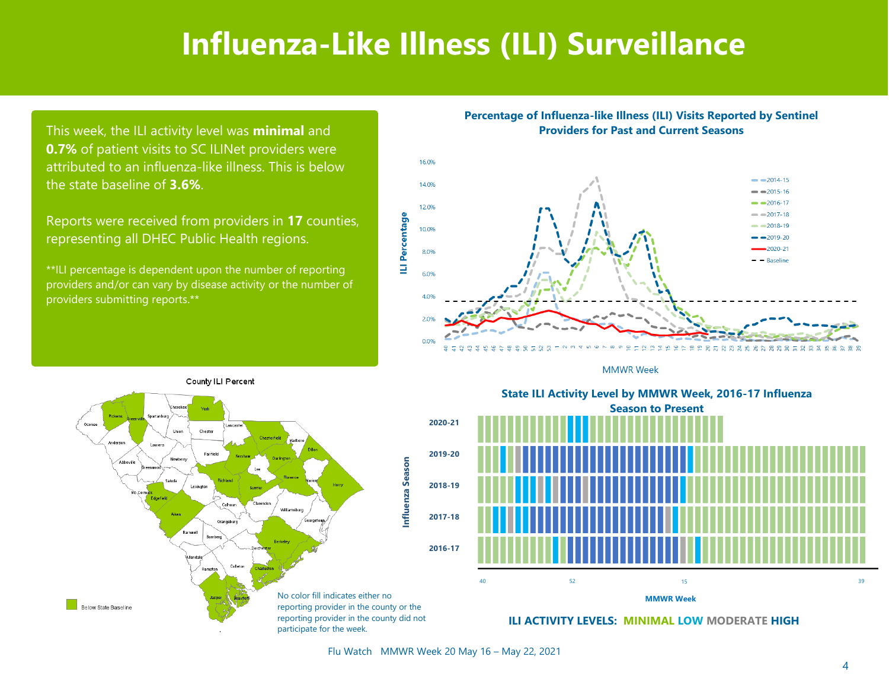### **Influenza-Like Illness (ILI) Surveillance**

This week, the ILI activity level was **minimal** and **0.7%** of patient visits to SC ILINet providers were attributed to an influenza-like illness. This is below the state baseline of **3.6%**.

Reports were received from providers in **17** counties, representing all DHEC Public Health regions.

\*\*ILI percentage is dependent upon the number of reporting providers and/or can vary by disease activity or the number of providers submitting reports.\*\*

#### **Percentage of Influenza-like Illness (ILI) Visits Reported by Sentinel Providers for Past and Current Seasons**



**MMWR Week** 







**ILI ACTIVITY LEVELS: MINIMAL LOW MODERATE HIGH**

Flu Watch MMWR Week 20 May 16 – May 22, 2021